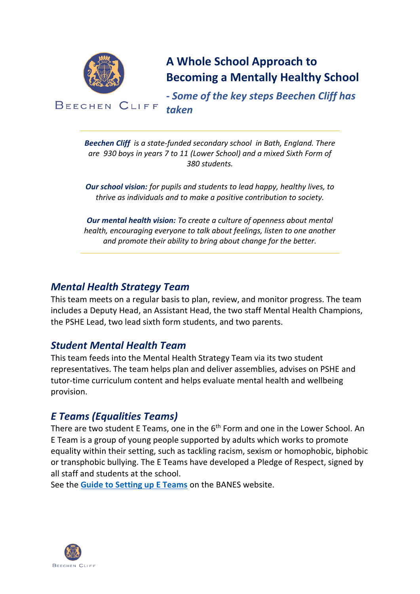

**A Whole School Approach to Becoming a Mentally Healthy School**

*- Some of the key steps Beechen Cliff has taken*

*Beechen Cliff is a state-funded secondary school in Bath, England. There are 930 boys in years 7 to 11 (Lower School) and a mixed Sixth Form of 380 students.*

*Our school vision: for pupils and students to lead happy, healthy lives, to thrive as individuals and to make a positive contribution to society.*

*Our mental health vision: To create a culture of openness about mental health, encouraging everyone to talk about feelings, listen to one another and promote their ability to bring about change for the better.*

### *Mental Health Strategy Team*

This team meets on a regular basis to plan, review, and monitor progress. The team includes a Deputy Head, an Assistant Head, the two staff Mental Health Champions, the PSHE Lead, two lead sixth form students, and two parents.

# *Student Mental Health Team*

This team feeds into the Mental Health Strategy Team via its two student representatives. The team helps plan and deliver assemblies, advises on PSHE and tutor-time curriculum content and helps evaluate mental health and wellbeing provision.

# *E Teams (Equalities Teams)*

There are two student E Teams, one in the 6<sup>th</sup> Form and one in the Lower School. An E Team is a group of young people supported by adults which works to promote equality within their setting, such as tackling racism, sexism or homophobic, biphobic or transphobic bullying. The E Teams have developed a Pledge of Respect, signed by all staff and students at the school.

See the **[Guide to Setting up E Teams](https://www.bathnes.gov.uk/services/your-council-and-democracy/equality-and-diversity/e-teams)** on the BANES website.